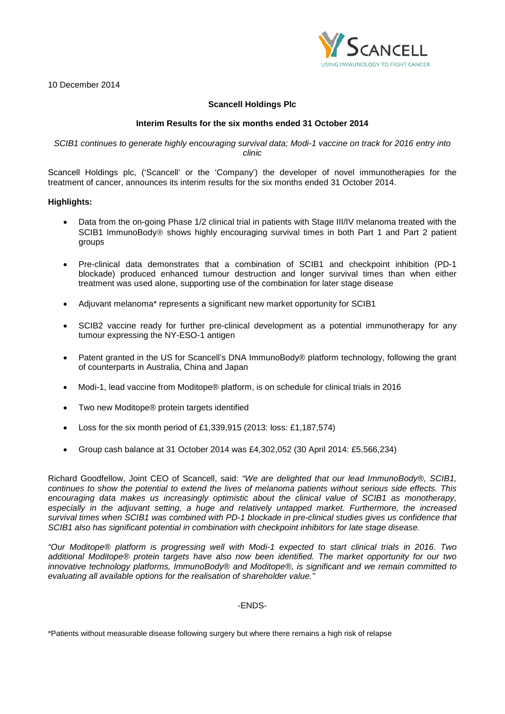**SCANCE** 

10 December 2014

# **Scancell Holdings Plc**

### **Interim Results for the six months ended 31 October 2014**

### *SCIB1 continues to generate highly encouraging survival data; Modi-1 vaccine on track for 2016 entry into clinic*

Scancell Holdings plc, ('Scancell' or the 'Company') the developer of novel immunotherapies for the treatment of cancer, announces its interim results for the six months ended 31 October 2014.

### **Highlights:**

- Data from the on-going Phase 1/2 clinical trial in patients with Stage III/IV melanoma treated with the SCIB1 ImmunoBody<sup>®</sup> shows highly encouraging survival times in both Part 1 and Part 2 patient groups
- Pre-clinical data demonstrates that a combination of SCIB1 and checkpoint inhibition (PD-1 blockade) produced enhanced tumour destruction and longer survival times than when either treatment was used alone, supporting use of the combination for later stage disease
- Adjuvant melanoma\* represents a significant new market opportunity for SCIB1
- SCIB2 vaccine ready for further pre-clinical development as a potential immunotherapy for any tumour expressing the NY-ESO-1 antigen
- Patent granted in the US for Scancell's DNA ImmunoBody® platform technology, following the grant of counterparts in Australia, China and Japan
- Modi-1, lead vaccine from Moditope® platform, is on schedule for clinical trials in 2016
- Two new Moditope® protein targets identified
- Loss for the six month period of £1,339,915 (2013: loss: £1,187,574)
- Group cash balance at 31 October 2014 was £4,302,052 (30 April 2014: £5,566,234)

Richard Goodfellow, Joint CEO of Scancell, said: *"We are delighted that our lead ImmunoBody®, SCIB1, continues to show the potential to extend the lives of melanoma patients without serious side effects. This encouraging data makes us increasingly optimistic about the clinical value of SCIB1 as monotherapy, especially in the adjuvant setting, a huge and relatively untapped market. Furthermore, the increased survival times when SCIB1 was combined with PD-1 blockade in pre-clinical studies gives us confidence that SCIB1 also has significant potential in combination with checkpoint inhibitors for late stage disease.*

*"Our Moditope® platform is progressing well with Modi-1 expected to start clinical trials in 2016. Two additional Moditope® protein targets have also now been identified. The market opportunity for our two innovative technology platforms, ImmunoBody® and Moditope®, is significant and we remain committed to evaluating all available options for the realisation of shareholder value."* 

-ENDS-

\*Patients without measurable disease following surgery but where there remains a high risk of relapse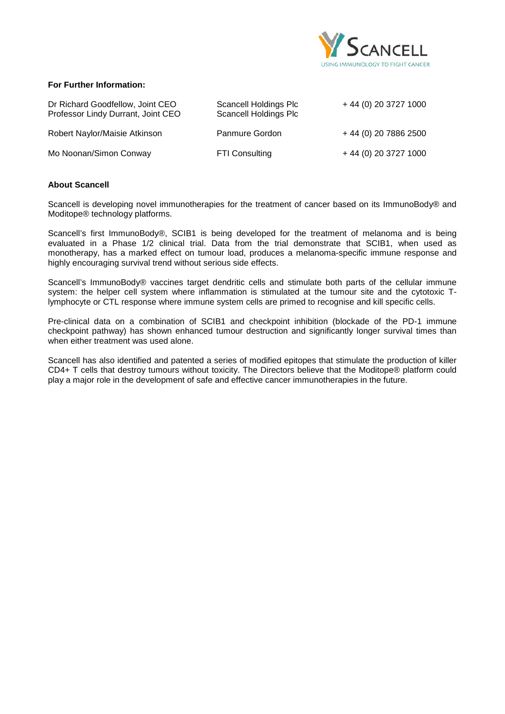

## **For Further Information:**

| Dr Richard Goodfellow, Joint CEO<br>Professor Lindy Durrant, Joint CEO | Scancell Holdings Plc<br><b>Scancell Holdings Plc</b> | + 44 (0) 20 3727 1000 |
|------------------------------------------------------------------------|-------------------------------------------------------|-----------------------|
| Robert Naylor/Maisie Atkinson                                          | Panmure Gordon                                        | +44 (0) 20 7886 2500  |
| Mo Noonan/Simon Conway                                                 | <b>FTI Consulting</b>                                 | + 44 (0) 20 3727 1000 |

### **About Scancell**

Scancell is developing novel immunotherapies for the treatment of cancer based on its ImmunoBody® and Moditope® technology platforms.

Scancell's first ImmunoBody®, SCIB1 is being developed for the treatment of melanoma and is being evaluated in a Phase 1/2 clinical trial. Data from the trial demonstrate that SCIB1, when used as monotherapy, has a marked effect on tumour load, produces a melanoma-specific immune response and highly encouraging survival trend without serious side effects.

Scancell's ImmunoBody® vaccines target dendritic cells and stimulate both parts of the cellular immune system: the helper cell system where inflammation is stimulated at the tumour site and the cytotoxic Tlymphocyte or CTL response where immune system cells are primed to recognise and kill specific cells.

Pre-clinical data on a combination of SCIB1 and checkpoint inhibition (blockade of the PD-1 immune checkpoint pathway) has shown enhanced tumour destruction and significantly longer survival times than when either treatment was used alone.

Scancell has also identified and patented a series of modified epitopes that stimulate the production of killer CD4+ T cells that destroy tumours without toxicity. The Directors believe that the Moditope® platform could play a major role in the development of safe and effective cancer immunotherapies in the future.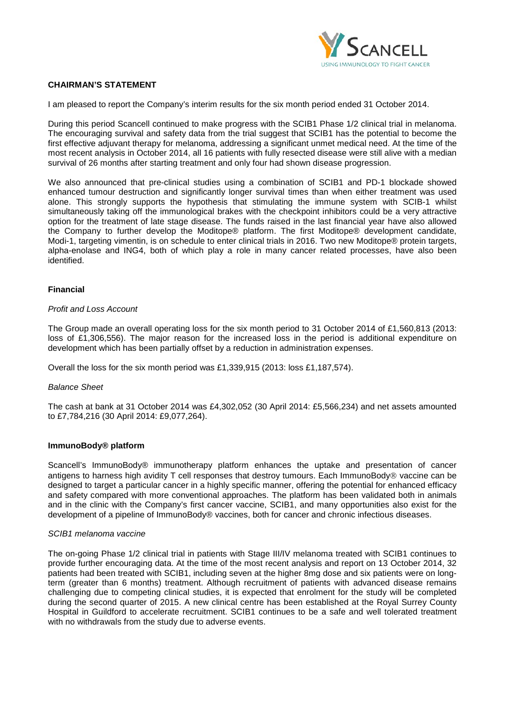

## **CHAIRMAN'S STATEMENT**

I am pleased to report the Company's interim results for the six month period ended 31 October 2014.

During this period Scancell continued to make progress with the SCIB1 Phase 1/2 clinical trial in melanoma. The encouraging survival and safety data from the trial suggest that SCIB1 has the potential to become the first effective adjuvant therapy for melanoma, addressing a significant unmet medical need. At the time of the most recent analysis in October 2014, all 16 patients with fully resected disease were still alive with a median survival of 26 months after starting treatment and only four had shown disease progression.

We also announced that pre-clinical studies using a combination of SCIB1 and PD-1 blockade showed enhanced tumour destruction and significantly longer survival times than when either treatment was used alone. This strongly supports the hypothesis that stimulating the immune system with SCIB-1 whilst simultaneously taking off the immunological brakes with the checkpoint inhibitors could be a very attractive option for the treatment of late stage disease. The funds raised in the last financial year have also allowed the Company to further develop the Moditope® platform. The first Moditope® development candidate, Modi-1, targeting vimentin, is on schedule to enter clinical trials in 2016. Two new Moditope® protein targets, alpha-enolase and ING4, both of which play a role in many cancer related processes, have also been identified.

### **Financial**

#### *Profit and Loss Account*

The Group made an overall operating loss for the six month period to 31 October 2014 of £1,560,813 (2013: loss of £1,306,556). The major reason for the increased loss in the period is additional expenditure on development which has been partially offset by a reduction in administration expenses.

Overall the loss for the six month period was £1,339,915 (2013: loss £1,187,574).

#### *Balance Sheet*

The cash at bank at 31 October 2014 was £4,302,052 (30 April 2014: £5,566,234) and net assets amounted to £7,784,216 (30 April 2014: £9,077,264).

### **ImmunoBody® platform**

Scancell's ImmunoBody® immunotherapy platform enhances the uptake and presentation of cancer antigens to harness high avidity T cell responses that destroy tumours. Each ImmunoBody<sup>®</sup> vaccine can be designed to target a particular cancer in a highly specific manner, offering the potential for enhanced efficacy and safety compared with more conventional approaches. The platform has been validated both in animals and in the clinic with the Company's first cancer vaccine, SCIB1, and many opportunities also exist for the development of a pipeline of ImmunoBody® vaccines, both for cancer and chronic infectious diseases.

#### *SCIB1 melanoma vaccine*

The on-going Phase 1/2 clinical trial in patients with Stage III/IV melanoma treated with SCIB1 continues to provide further encouraging data. At the time of the most recent analysis and report on 13 October 2014, 32 patients had been treated with SCIB1, including seven at the higher 8mg dose and six patients were on longterm (greater than 6 months) treatment. Although recruitment of patients with advanced disease remains challenging due to competing clinical studies, it is expected that enrolment for the study will be completed during the second quarter of 2015. A new clinical centre has been established at the Royal Surrey County Hospital in Guildford to accelerate recruitment. SCIB1 continues to be a safe and well tolerated treatment with no withdrawals from the study due to adverse events.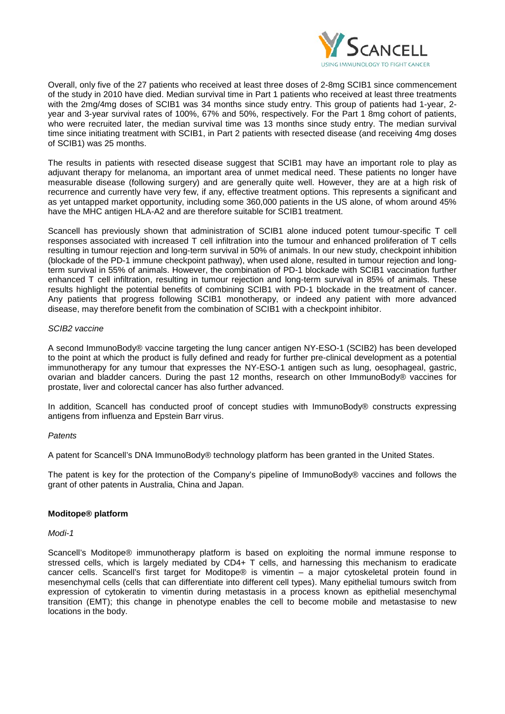

Overall, only five of the 27 patients who received at least three doses of 2-8mg SCIB1 since commencement of the study in 2010 have died. Median survival time in Part 1 patients who received at least three treatments with the 2mg/4mg doses of SCIB1 was 34 months since study entry. This group of patients had 1-year, 2year and 3-year survival rates of 100%, 67% and 50%, respectively. For the Part 1 8mg cohort of patients, who were recruited later, the median survival time was 13 months since study entry. The median survival time since initiating treatment with SCIB1, in Part 2 patients with resected disease (and receiving 4mg doses of SCIB1) was 25 months.

The results in patients with resected disease suggest that SCIB1 may have an important role to play as adjuvant therapy for melanoma, an important area of unmet medical need. These patients no longer have measurable disease (following surgery) and are generally quite well. However, they are at a high risk of recurrence and currently have very few, if any, effective treatment options. This represents a significant and as yet untapped market opportunity, including some 360,000 patients in the US alone, of whom around 45% have the MHC antigen HLA-A2 and are therefore suitable for SCIB1 treatment.

Scancell has previously shown that administration of SCIB1 alone induced potent tumour-specific T cell responses associated with increased T cell infiltration into the tumour and enhanced proliferation of T cells resulting in tumour rejection and long-term survival in 50% of animals. In our new study, checkpoint inhibition (blockade of the PD-1 immune checkpoint pathway), when used alone, resulted in tumour rejection and longterm survival in 55% of animals. However, the combination of PD-1 blockade with SCIB1 vaccination further enhanced T cell infiltration, resulting in tumour rejection and long-term survival in 85% of animals. These results highlight the potential benefits of combining SCIB1 with PD-1 blockade in the treatment of cancer. Any patients that progress following SCIB1 monotherapy, or indeed any patient with more advanced disease, may therefore benefit from the combination of SCIB1 with a checkpoint inhibitor.

#### *SCIB2 vaccine*

A second ImmunoBody® vaccine targeting the lung cancer antigen NY-ESO-1 (SCIB2) has been developed to the point at which the product is fully defined and ready for further pre-clinical development as a potential immunotherapy for any tumour that expresses the NY-ESO-1 antigen such as lung, oesophageal, gastric, ovarian and bladder cancers. During the past 12 months, research on other ImmunoBody® vaccines for prostate, liver and colorectal cancer has also further advanced.

In addition, Scancell has conducted proof of concept studies with ImmunoBody® constructs expressing antigens from influenza and Epstein Barr virus.

### *Patents*

A patent for Scancell's DNA ImmunoBody® technology platform has been granted in the United States.

The patent is key for the protection of the Company's pipeline of ImmunoBody® vaccines and follows the grant of other patents in Australia, China and Japan.

### **Moditope® platform**

### *Modi-1*

Scancell's Moditope® immunotherapy platform is based on exploiting the normal immune response to stressed cells, which is largely mediated by CD4+ T cells, and harnessing this mechanism to eradicate cancer cells. Scancell's first target for Moditope® is vimentin – a major cytoskeletal protein found in mesenchymal cells (cells that can differentiate into different cell types). Many epithelial tumours switch from expression of cytokeratin to vimentin during metastasis in a process known as epithelial mesenchymal transition (EMT); this change in phenotype enables the cell to become mobile and metastasise to new locations in the body.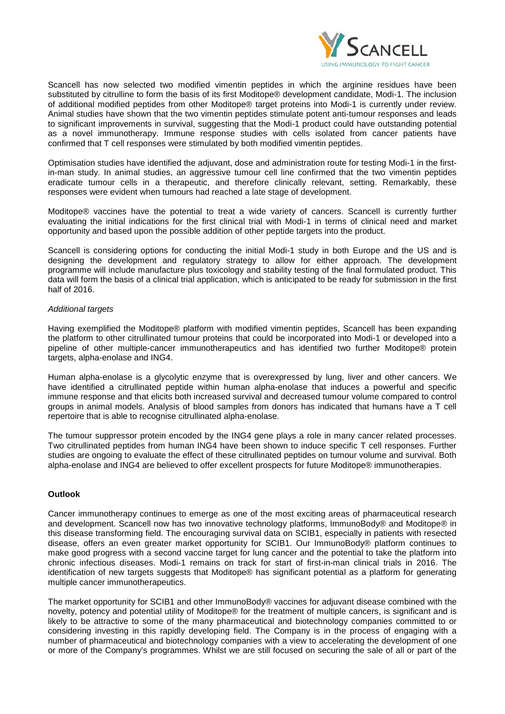

Scancell has now selected two modified vimentin peptides in which the arginine residues have been substituted by citrulline to form the basis of its first Moditope® development candidate, Modi-1. The inclusion of additional modified peptides from other Moditope® target proteins into Modi-1 is currently under review. Animal studies have shown that the two vimentin peptides stimulate potent anti-tumour responses and leads to significant improvements in survival, suggesting that the Modi-1 product could have outstanding potential as a novel immunotherapy. Immune response studies with cells isolated from cancer patients have confirmed that T cell responses were stimulated by both modified vimentin peptides.

Optimisation studies have identified the adjuvant, dose and administration route for testing Modi-1 in the firstin-man study. In animal studies, an aggressive tumour cell line confirmed that the two vimentin peptides eradicate tumour cells in a therapeutic, and therefore clinically relevant, setting. Remarkably, these responses were evident when tumours had reached a late stage of development.

Moditope® vaccines have the potential to treat a wide variety of cancers. Scancell is currently further evaluating the initial indications for the first clinical trial with Modi-1 in terms of clinical need and market opportunity and based upon the possible addition of other peptide targets into the product.

Scancell is considering options for conducting the initial Modi-1 study in both Europe and the US and is designing the development and regulatory strategy to allow for either approach. The development programme will include manufacture plus toxicology and stability testing of the final formulated product. This data will form the basis of a clinical trial application, which is anticipated to be ready for submission in the first half of 2016.

### *Additional targets*

Having exemplified the Moditope® platform with modified vimentin peptides, Scancell has been expanding the platform to other citrullinated tumour proteins that could be incorporated into Modi-1 or developed into a pipeline of other multiple-cancer immunotherapeutics and has identified two further Moditope® protein targets, alpha-enolase and ING4.

Human alpha-enolase is a glycolytic enzyme that is overexpressed by lung, liver and other cancers. We have identified a citrullinated peptide within human alpha-enolase that induces a powerful and specific immune response and that elicits both increased survival and decreased tumour volume compared to control groups in animal models. Analysis of blood samples from donors has indicated that humans have a T cell repertoire that is able to recognise citrullinated alpha-enolase.

The tumour suppressor protein encoded by the ING4 gene plays a role in many cancer related processes. Two citrullinated peptides from human ING4 have been shown to induce specific T cell responses. Further studies are ongoing to evaluate the effect of these citrullinated peptides on tumour volume and survival. Both alpha-enolase and ING4 are believed to offer excellent prospects for future Moditope® immunotherapies.

### **Outlook**

Cancer immunotherapy continues to emerge as one of the most exciting areas of pharmaceutical research and development. Scancell now has two innovative technology platforms, ImmunoBody® and Moditope® in this disease transforming field. The encouraging survival data on SCIB1, especially in patients with resected disease, offers an even greater market opportunity for SCIB1. Our ImmunoBody® platform continues to make good progress with a second vaccine target for lung cancer and the potential to take the platform into chronic infectious diseases. Modi-1 remains on track for start of first-in-man clinical trials in 2016. The identification of new targets suggests that Moditope® has significant potential as a platform for generating multiple cancer immunotherapeutics.

The market opportunity for SCIB1 and other ImmunoBody® vaccines for adjuvant disease combined with the novelty, potency and potential utility of Moditope® for the treatment of multiple cancers, is significant and is likely to be attractive to some of the many pharmaceutical and biotechnology companies committed to or considering investing in this rapidly developing field. The Company is in the process of engaging with a number of pharmaceutical and biotechnology companies with a view to accelerating the development of one or more of the Company's programmes. Whilst we are still focused on securing the sale of all or part of the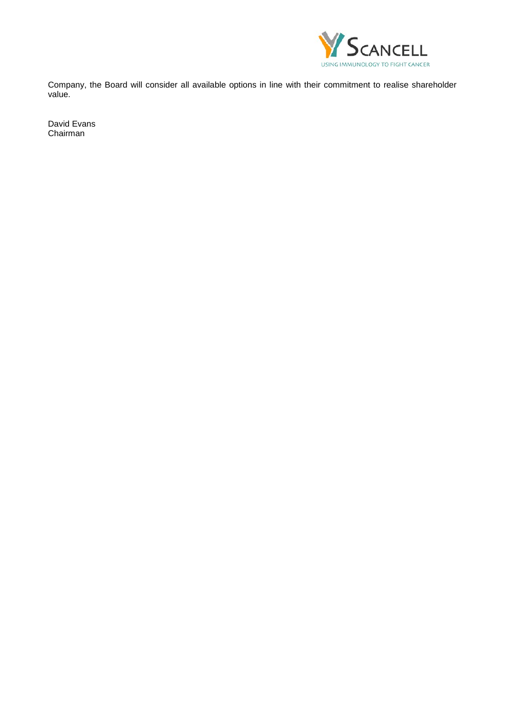

Company, the Board will consider all available options in line with their commitment to realise shareholder value.

David Evans Chairman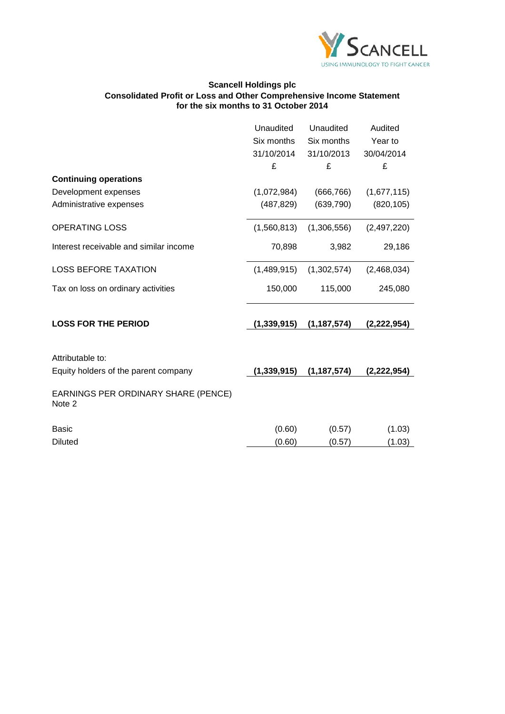

## **Scancell Holdings plc Consolidated Profit or Loss and Other Comprehensive Income Statement for the six months to 31 October 2014**

|                                               | Unaudited     | Unaudited     | Audited     |
|-----------------------------------------------|---------------|---------------|-------------|
|                                               | Six months    | Six months    | Year to     |
|                                               | 31/10/2014    | 31/10/2013    | 30/04/2014  |
|                                               | £             | £             | £           |
| <b>Continuing operations</b>                  |               |               |             |
| Development expenses                          | (1,072,984)   | (666, 766)    | (1,677,115) |
| Administrative expenses                       | (487, 829)    | (639, 790)    | (820, 105)  |
| <b>OPERATING LOSS</b>                         | (1,560,813)   | (1,306,556)   | (2,497,220) |
| Interest receivable and similar income        | 70,898        | 3,982         | 29,186      |
| <b>LOSS BEFORE TAXATION</b>                   | (1,489,915)   | (1,302,574)   | (2,468,034) |
| Tax on loss on ordinary activities            | 150,000       | 115,000       | 245,080     |
| <b>LOSS FOR THE PERIOD</b>                    | (1, 339, 915) | (1, 187, 574) | (2,222,954) |
|                                               |               |               |             |
| Attributable to:                              |               |               |             |
| Equity holders of the parent company          | (1, 339, 915) | (1, 187, 574) | (2,222,954) |
| EARNINGS PER ORDINARY SHARE (PENCE)<br>Note 2 |               |               |             |
| <b>Basic</b>                                  | (0.60)        | (0.57)        | (1.03)      |
| <b>Diluted</b>                                | (0.60)        | (0.57)        | (1.03)      |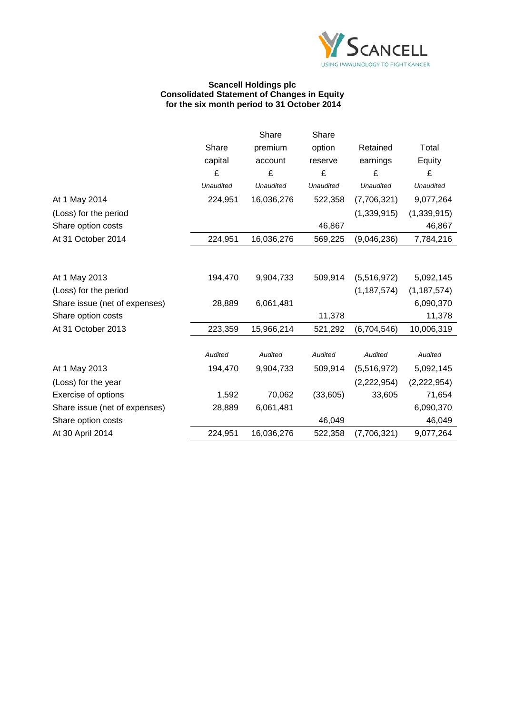

### **Scancell Holdings plc Consolidated Statement of Changes in Equity for the six month period to 31 October 2014**

|                               |                  | Share            | Share          |               |                  |
|-------------------------------|------------------|------------------|----------------|---------------|------------------|
|                               | Share            | premium          | option         | Retained      | Total            |
|                               | capital          | account          | reserve        | earnings      | Equity           |
|                               | £                | £                | £              | £             | £                |
|                               | <b>Unaudited</b> | <b>Unaudited</b> | Unaudited      | Unaudited     | <b>Unaudited</b> |
| At 1 May 2014                 | 224,951          | 16,036,276       | 522,358        | (7,706,321)   | 9,077,264        |
| (Loss) for the period         |                  |                  |                | (1, 339, 915) | (1,339,915)      |
| Share option costs            |                  |                  | 46,867         |               | 46,867           |
| At 31 October 2014            | 224,951          | 16,036,276       | 569,225        | (9,046,236)   | 7,784,216        |
|                               |                  |                  |                |               |                  |
| At 1 May 2013                 | 194,470          | 9,904,733        | 509,914        | (5,516,972)   | 5,092,145        |
| (Loss) for the period         |                  |                  |                | (1, 187, 574) | (1, 187, 574)    |
| Share issue (net of expenses) | 28,889           | 6,061,481        |                |               | 6,090,370        |
| Share option costs            |                  |                  | 11,378         |               | 11,378           |
| At 31 October 2013            | 223,359          | 15,966,214       | 521,292        | (6,704,546)   | 10,006,319       |
|                               | Audited          | Audited          | <b>Audited</b> | Audited       | Audited          |
|                               | 194,470          | 9,904,733        | 509,914        |               | 5,092,145        |
| At 1 May 2013                 |                  |                  |                | (5,516,972)   |                  |
| (Loss) for the year           |                  |                  |                | (2,222,954)   | (2,222,954)      |
| Exercise of options           | 1,592            | 70,062           | (33,605)       | 33,605        | 71,654           |
| Share issue (net of expenses) | 28,889           | 6,061,481        |                |               | 6,090,370        |
| Share option costs            |                  |                  | 46,049         |               | 46,049           |
| At 30 April 2014              | 224,951          | 16,036,276       | 522,358        | (7,706,321)   | 9,077,264        |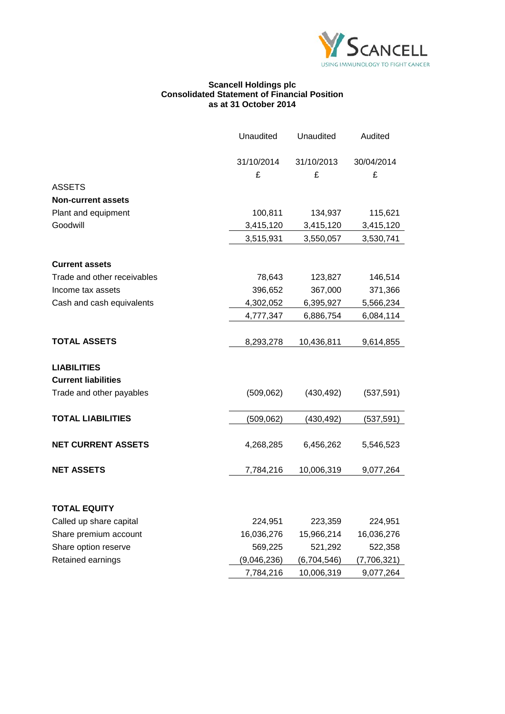

#### **Scancell Holdings plc Consolidated Statement of Financial Position as at 31 October 2014**

|                             | Unaudited   | Unaudited   | Audited     |
|-----------------------------|-------------|-------------|-------------|
|                             | 31/10/2014  | 31/10/2013  | 30/04/2014  |
|                             | £           | £           | £           |
| <b>ASSETS</b>               |             |             |             |
| <b>Non-current assets</b>   |             |             |             |
| Plant and equipment         | 100,811     | 134,937     | 115,621     |
| Goodwill                    | 3,415,120   | 3,415,120   | 3,415,120   |
|                             | 3,515,931   | 3,550,057   | 3,530,741   |
| <b>Current assets</b>       |             |             |             |
| Trade and other receivables | 78,643      | 123,827     | 146,514     |
| Income tax assets           | 396,652     | 367,000     | 371,366     |
| Cash and cash equivalents   | 4,302,052   | 6,395,927   | 5,566,234   |
|                             | 4,777,347   | 6,886,754   | 6,084,114   |
|                             |             |             |             |
| <b>TOTAL ASSETS</b>         | 8,293,278   | 10,436,811  | 9,614,855   |
| <b>LIABILITIES</b>          |             |             |             |
| <b>Current liabilities</b>  |             |             |             |
| Trade and other payables    | (509, 062)  | (430, 492)  | (537, 591)  |
| <b>TOTAL LIABILITIES</b>    | (509, 062)  | (430, 492)  | (537,591)   |
| <b>NET CURRENT ASSETS</b>   | 4,268,285   | 6,456,262   | 5,546,523   |
| <b>NET ASSETS</b>           | 7,784,216   | 10,006,319  | 9,077,264   |
|                             |             |             |             |
| TOTAL EQUITY                |             |             |             |
| Called up share capital     | 224,951     | 223,359     | 224,951     |
| Share premium account       | 16,036,276  | 15,966,214  | 16,036,276  |
| Share option reserve        | 569,225     | 521,292     | 522,358     |
| Retained earnings           | (9,046,236) | (6,704,546) | (7,706,321) |
|                             | 7,784,216   | 10,006,319  | 9,077,264   |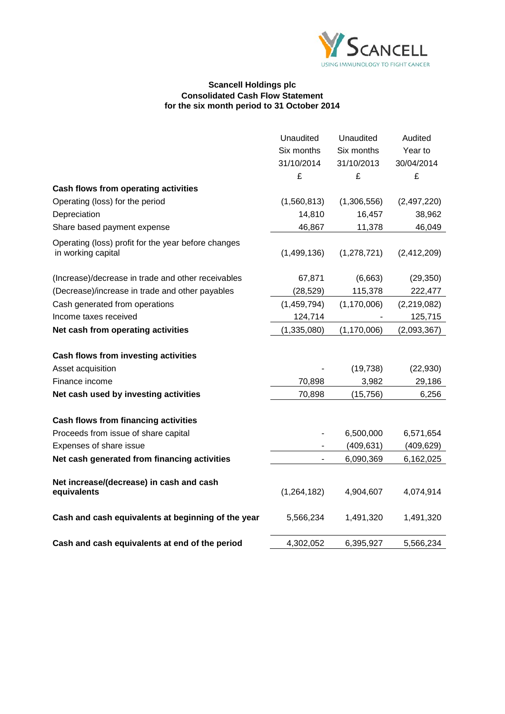

### **Scancell Holdings plc Consolidated Cash Flow Statement for the six month period to 31 October 2014**

|                                                                           | Unaudited     | Unaudited     | Audited     |
|---------------------------------------------------------------------------|---------------|---------------|-------------|
|                                                                           | Six months    | Six months    | Year to     |
|                                                                           | 31/10/2014    | 31/10/2013    | 30/04/2014  |
|                                                                           | £             | £             | £           |
| Cash flows from operating activities                                      |               |               |             |
| Operating (loss) for the period                                           | (1,560,813)   | (1,306,556)   | (2,497,220) |
| Depreciation                                                              | 14,810        | 16,457        | 38,962      |
| Share based payment expense                                               | 46,867        | 11,378        | 46,049      |
| Operating (loss) profit for the year before changes<br>in working capital | (1,499,136)   | (1,278,721)   | (2,412,209) |
| (Increase)/decrease in trade and other receivables                        | 67,871        | (6,663)       | (29, 350)   |
| (Decrease)/increase in trade and other payables                           | (28, 529)     | 115,378       | 222,477     |
| Cash generated from operations                                            | (1,459,794)   | (1, 170, 006) | (2,219,082) |
| Income taxes received                                                     | 124,714       |               | 125,715     |
| Net cash from operating activities                                        | (1, 335, 080) | (1, 170, 006) | (2,093,367) |
| Cash flows from investing activities                                      |               |               |             |
| Asset acquisition                                                         |               | (19, 738)     | (22, 930)   |
| Finance income                                                            | 70,898        | 3,982         | 29,186      |
| Net cash used by investing activities                                     | 70,898        | (15, 756)     | 6,256       |
| <b>Cash flows from financing activities</b>                               |               |               |             |
| Proceeds from issue of share capital                                      |               | 6,500,000     | 6,571,654   |
| Expenses of share issue                                                   |               | (409, 631)    | (409, 629)  |
| Net cash generated from financing activities                              |               | 6,090,369     | 6,162,025   |
| Net increase/(decrease) in cash and cash<br>equivalents                   | (1, 264, 182) | 4,904,607     | 4,074,914   |
| Cash and cash equivalents at beginning of the year                        | 5,566,234     | 1,491,320     | 1,491,320   |
| Cash and cash equivalents at end of the period                            | 4,302,052     | 6,395,927     | 5,566,234   |